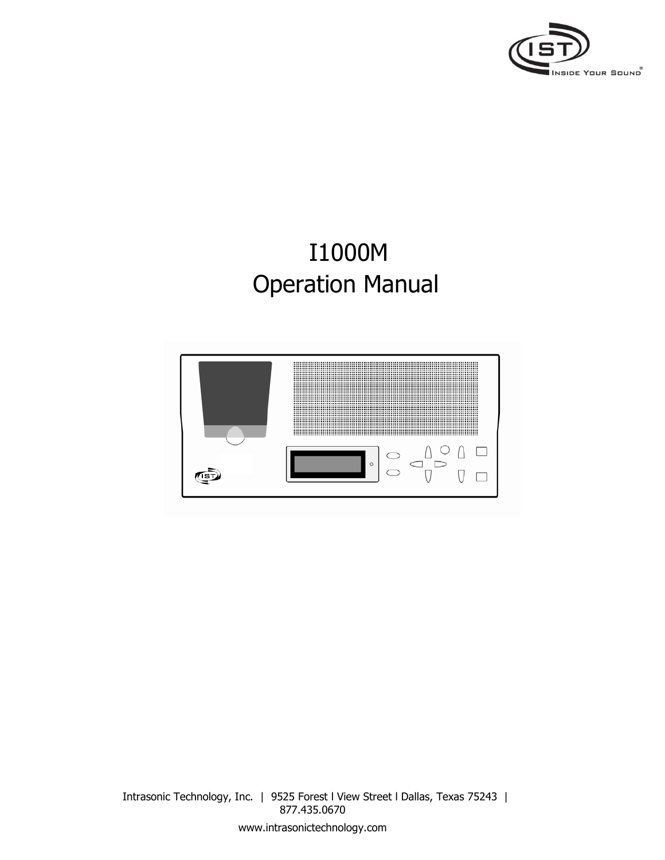

# I1000M Operation Manual

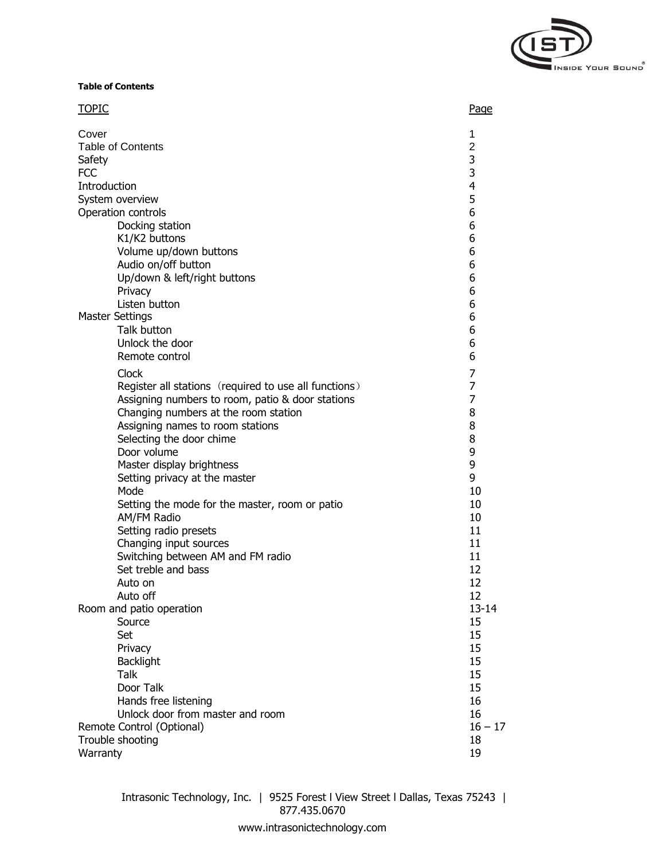

**Table of Contents**

| <b>TOPIC</b>                    |                                                          | Page                     |
|---------------------------------|----------------------------------------------------------|--------------------------|
| Cover                           | <b>Table of Contents</b>                                 | 1<br>$\overline{2}$<br>3 |
| Safety<br><b>FCC</b>            |                                                          | 3                        |
|                                 |                                                          | $\overline{4}$           |
| Introduction<br>System overview |                                                          | 5                        |
| Operation controls              |                                                          | 6                        |
|                                 | 6                                                        |                          |
|                                 | Docking station<br>K1/K2 buttons                         | 6                        |
|                                 | Volume up/down buttons                                   | 6                        |
|                                 | Audio on/off button                                      | 6                        |
|                                 | Up/down & left/right buttons                             | 6                        |
|                                 | Privacy                                                  | 6                        |
|                                 | Listen button                                            | 6<br>6                   |
| <b>Master Settings</b>          |                                                          |                          |
|                                 | Talk button                                              | 6                        |
|                                 | Unlock the door                                          | 6                        |
|                                 | Remote control                                           | 6                        |
|                                 | Clock                                                    | 7                        |
|                                 | Register all stations (required to use all functions)    | 7                        |
|                                 | Assigning numbers to room, patio & door stations         | 7                        |
|                                 | Changing numbers at the room station                     | 8                        |
|                                 | Assigning names to room stations                         | 8                        |
|                                 | Selecting the door chime                                 | 8                        |
|                                 | Door volume<br>Master display brightness                 | 9<br>9                   |
|                                 | Setting privacy at the master                            | 9                        |
|                                 | Mode                                                     | 10                       |
|                                 | Setting the mode for the master, room or patio           | 10                       |
|                                 | AM/FM Radio                                              | 10                       |
|                                 | Setting radio presets                                    | 11                       |
|                                 | Changing input sources                                   | 11                       |
|                                 | Switching between AM and FM radio                        | 11                       |
|                                 | Set treble and bass                                      | 12                       |
|                                 | Auto on                                                  | 12                       |
|                                 | Auto off                                                 | 12                       |
| Room and patio operation        |                                                          | $13 - 14$                |
|                                 | Source                                                   | 15                       |
|                                 | Set                                                      | 15                       |
|                                 | Privacy                                                  | 15                       |
|                                 | <b>Backlight</b>                                         | 15                       |
|                                 | <b>Talk</b><br>Door Talk                                 | 15                       |
|                                 |                                                          | 15                       |
|                                 | Hands free listening<br>Unlock door from master and room | 16<br>16                 |
|                                 | Remote Control (Optional)                                | $16 - 17$                |
| Trouble shooting                |                                                          |                          |
| Warranty                        |                                                          |                          |
|                                 |                                                          | 19                       |

Intrasonic Technology, Inc. | 9525 Forest l View Street l Dallas, Texas 75243 | 877.435.0670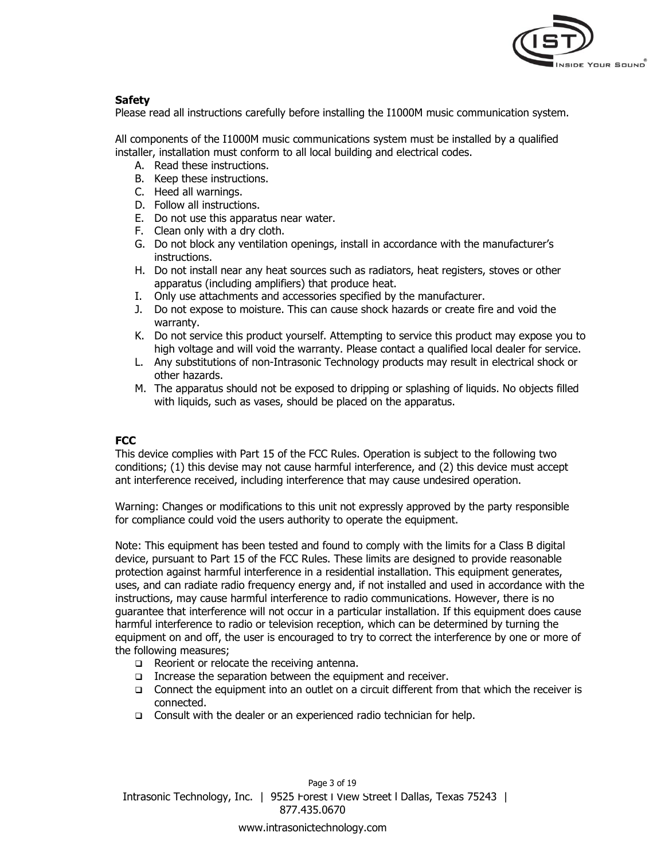

# **Safety**

Please read all instructions carefully before installing the I1000M music communication system.

All components of the I1000M music communications system must be installed by a qualified installer, installation must conform to all local building and electrical codes.

- A. Read these instructions.
- B. Keep these instructions.
- C. Heed all warnings.
- D. Follow all instructions.
- E. Do not use this apparatus near water.
- F. Clean only with a dry cloth.
- G. Do not block any ventilation openings, install in accordance with the manufacturer's instructions.
- H. Do not install near any heat sources such as radiators, heat registers, stoves or other apparatus (including amplifiers) that produce heat.
- I. Only use attachments and accessories specified by the manufacturer.
- J. Do not expose to moisture. This can cause shock hazards or create fire and void the warranty.
- K. Do not service this product yourself. Attempting to service this product may expose you to high voltage and will void the warranty. Please contact a qualified local dealer for service.
- L. Any substitutions of non-Intrasonic Technology products may result in electrical shock or other hazards.
- M. The apparatus should not be exposed to dripping or splashing of liquids. No objects filled with liquids, such as vases, should be placed on the apparatus.

# **FCC**

This device complies with Part 15 of the FCC Rules. Operation is subject to the following two conditions; (1) this devise may not cause harmful interference, and (2) this device must accept ant interference received, including interference that may cause undesired operation.

Warning: Changes or modifications to this unit not expressly approved by the party responsible for compliance could void the users authority to operate the equipment.

Note: This equipment has been tested and found to comply with the limits for a Class B digital device, pursuant to Part 15 of the FCC Rules. These limits are designed to provide reasonable protection against harmful interference in a residential installation. This equipment generates, uses, and can radiate radio frequency energy and, if not installed and used in accordance with the instructions, may cause harmful interference to radio communications. However, there is no guarantee that interference will not occur in a particular installation. If this equipment does cause harmful interference to radio or television reception, which can be determined by turning the equipment on and off, the user is encouraged to try to correct the interference by one or more of the following measures;

- Reorient or relocate the receiving antenna.
- Increase the separation between the equipment and receiver.
- $\Box$  Connect the equipment into an outlet on a circuit different from that which the receiver is connected.
- □ Consult with the dealer or an experienced radio technician for help.

Intrasonic Technology, Inc. | 9525 Forest l View Street l Dallas, Texas 75243 | 877.435.0670 Page 3 of 19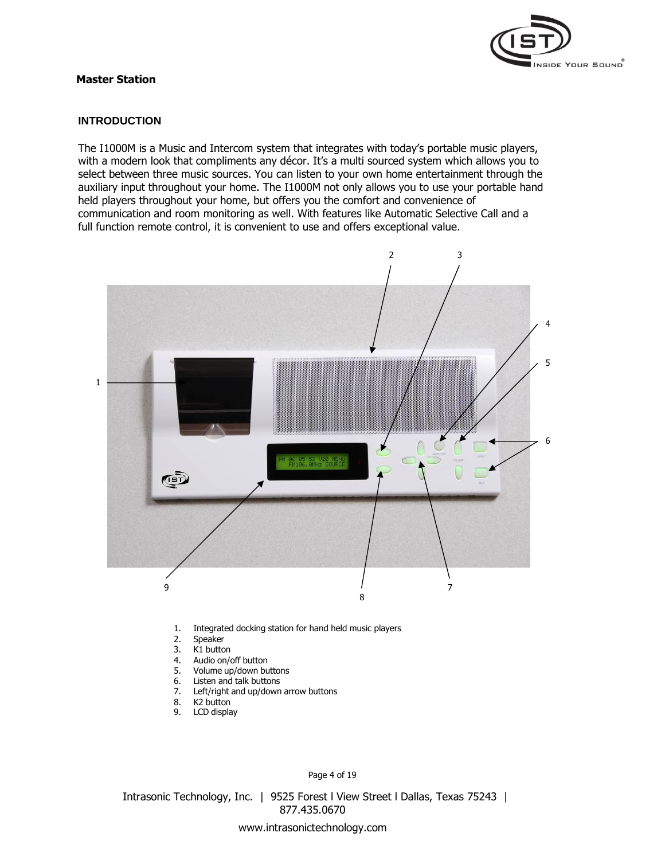

# **Master Station**

# **INTRODUCTION**

The I1000M is a Music and Intercom system that integrates with today's portable music players, with a modern look that compliments any décor. It's a multi sourced system which allows you to select between three music sources. You can listen to your own home entertainment through the auxiliary input throughout your home. The I1000M not only allows you to use your portable hand held players throughout your home, but offers you the comfort and convenience of communication and room monitoring as well. With features like Automatic Selective Call and a full function remote control, it is convenient to use and offers exceptional value.



- 1. Integrated docking station for hand held music players
- 2. Speaker
- 3. K1 button
- 4. Audio on/off button
- 5. Volume up/down buttons
- 6. Listen and talk buttons
- 7. Left/right and up/down arrow buttons
- 8. K2 button
- 9. LCD display

Page 4 of 19

Intrasonic Technology, Inc. | 9525 Forest l View Street l Dallas, Texas 75243 | 877.435.0670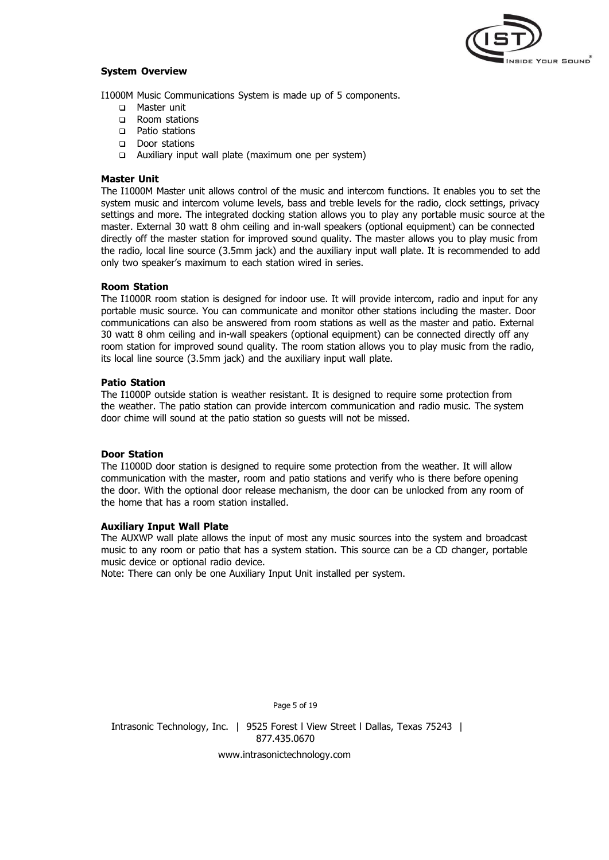

## **System Overview**

I1000M Music Communications System is made up of 5 components.

- □ Master unit
- □ Room stations
- Patio stations
- Door stations
- Auxiliary input wall plate (maximum one per system)

## **Master Unit**

The I1000M Master unit allows control of the music and intercom functions. It enables you to set the system music and intercom volume levels, bass and treble levels for the radio, clock settings, privacy settings and more. The integrated docking station allows you to play any portable music source at the master. External 30 watt 8 ohm ceiling and in-wall speakers (optional equipment) can be connected directly off the master station for improved sound quality. The master allows you to play music from the radio, local line source (3.5mm jack) and the auxiliary input wall plate. It is recommended to add only two speaker's maximum to each station wired in series.

## **Room Station**

The I1000R room station is designed for indoor use. It will provide intercom, radio and input for any portable music source. You can communicate and monitor other stations including the master. Door communications can also be answered from room stations as well as the master and patio. External 30 watt 8 ohm ceiling and in-wall speakers (optional equipment) can be connected directly off any room station for improved sound quality. The room station allows you to play music from the radio, its local line source (3.5mm jack) and the auxiliary input wall plate.

## **Patio Station**

The I1000P outside station is weather resistant. It is designed to require some protection from the weather. The patio station can provide intercom communication and radio music. The system door chime will sound at the patio station so guests will not be missed.

# **Door Station**

The I1000D door station is designed to require some protection from the weather. It will allow communication with the master, room and patio stations and verify who is there before opening the door. With the optional door release mechanism, the door can be unlocked from any room of the home that has a room station installed.

# **Auxiliary Input Wall Plate**

The AUXWP wall plate allows the input of most any music sources into the system and broadcast music to any room or patio that has a system station. This source can be a CD changer, portable music device or optional radio device.

Note: There can only be one Auxiliary Input Unit installed per system.

Page 5 of 19

Intrasonic Technology, Inc. | 9525 Forest I View Street I Dallas, Texas 75243 | 877.435.0670 [www.intrasonictechnology.com](http://www.intrasonictechnology.com/)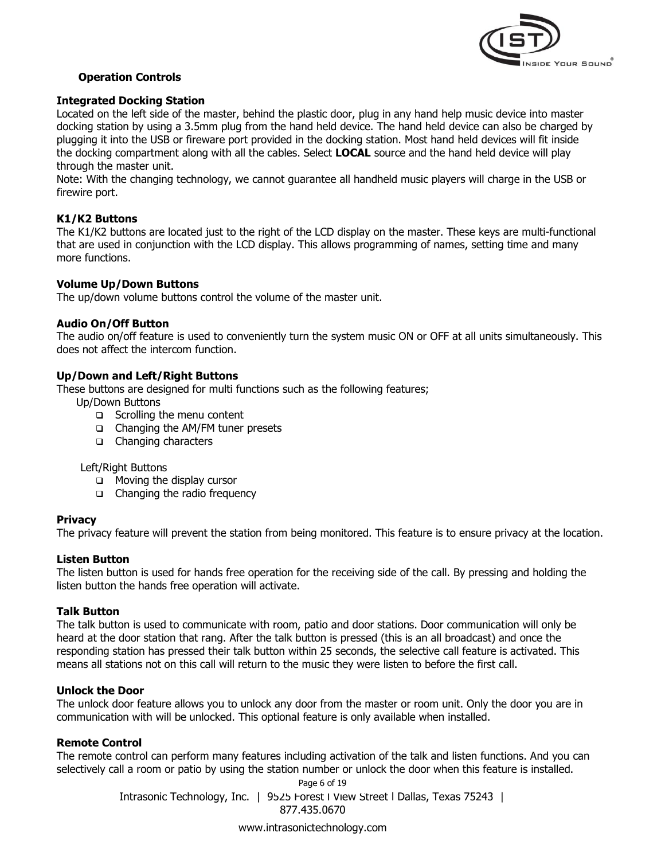

# **Operation Controls**

# **Integrated Docking Station**

Located on the left side of the master, behind the plastic door, plug in any hand help music device into master docking station by using a 3.5mm plug from the hand held device. The hand held device can also be charged by plugging it into the USB or fireware port provided in the docking station. Most hand held devices will fit inside the docking compartment along with all the cables. Select **LOCAL** source and the hand held device will play through the master unit.

Note: With the changing technology, we cannot guarantee all handheld music players will charge in the USB or firewire port.

# **K1/K2 Buttons**

The K1/K2 buttons are located just to the right of the LCD display on the master. These keys are multi-functional that are used in conjunction with the LCD display. This allows programming of names, setting time and many more functions.

# **Volume Up/Down Buttons**

The up/down volume buttons control the volume of the master unit.

# **Audio On/Off Button**

The audio on/off feature is used to conveniently turn the system music ON or OFF at all units simultaneously. This does not affect the intercom function.

# **Up/Down and Left/Right Buttons**

These buttons are designed for multi functions such as the following features;

Up/Down Buttons

- □ Scrolling the menu content
- □ Changing the AM/FM tuner presets
- □ Changing characters

# Left/Right Buttons

- **D** Moving the display cursor
- □ Changing the radio frequency

# **Privacy**

The privacy feature will prevent the station from being monitored. This feature is to ensure privacy at the location.

# **Listen Button**

The listen button is used for hands free operation for the receiving side of the call. By pressing and holding the listen button the hands free operation will activate.

# **Talk Button**

The talk button is used to communicate with room, patio and door stations. Door communication will only be heard at the door station that rang. After the talk button is pressed (this is an all broadcast) and once the responding station has pressed their talk button within 25 seconds, the selective call feature is activated. This means all stations not on this call will return to the music they were listen to before the first call.

# **Unlock the Door**

The unlock door feature allows you to unlock any door from the master or room unit. Only the door you are in communication with will be unlocked. This optional feature is only available when installed.

# **Remote Control**

The remote control can perform many features including activation of the talk and listen functions. And you can selectively call a room or patio by using the station number or unlock the door when this feature is installed.

> Intrasonic Technology, Inc. | 9525 Forest l View Street l Dallas, Texas 75243 | 877.435.0670 Page 6 of 19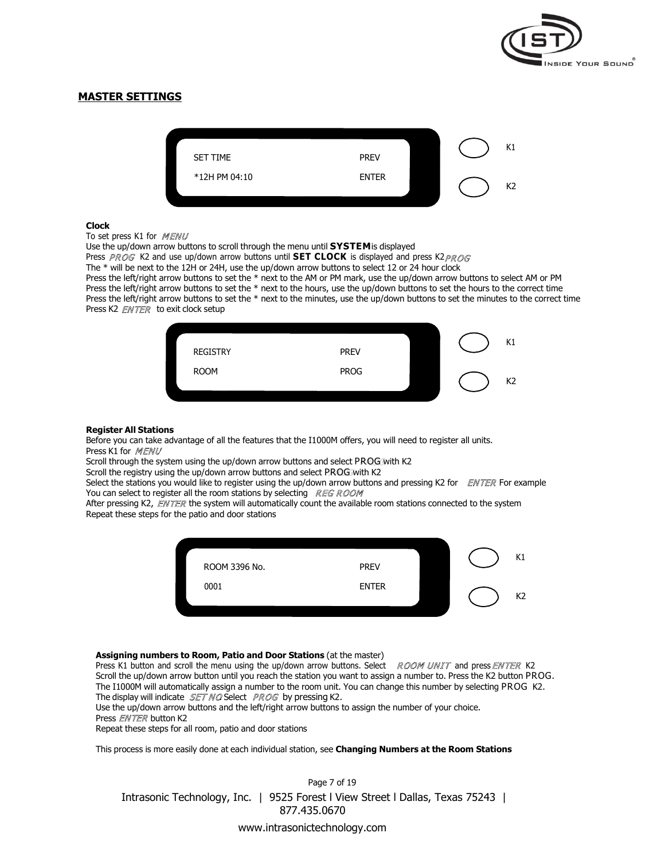

# **MASTER SETTINGS**



#### **Clock**

#### To set press K1 for MENU

Use the up/down arrow buttons to scroll through the menu until **SYSTEM**is displayed Press PROG K2 and use up/down arrow buttons until **SET CLOCK** is displayed and press K2 PROG The \* will be next to the 12H or 24H, use the up/down arrow buttons to select 12 or 24 hour clock Press the left/right arrow buttons to set the \* next to the AM or PM mark, use the up/down arrow buttons to select AM or PM Press the left/right arrow buttons to set the \* next to the hours, use the up/down buttons to set the hours to the correct time Press the left/right arrow buttons to set the \* next to the minutes, use the up/down buttons to set the minutes to the correct time Press K2 *ENTER* to exit clock setup



#### **Register All Stations**

Before you can take advantage of all the features that the I1000M offers, you will need to register all units. Press K1 for MENU

Scroll through the system using the up/down arrow buttons and select PROG with K2

Scroll the registry using the up/down arrow buttons and select PROG with K2

Select the stations you would like to register using the up/down arrow buttons and pressing K2 for  $ENTER$  For example You can select to register all the room stations by selecting REG ROOM

After pressing K2,  $EMTER$  the system will automatically count the available room stations connected to the system Repeat these steps for the patio and door stations



#### **Assigning numbers to Room, Patio and Door Stations** (at the master)

Press K1 button and scroll the menu using the up/down arrow buttons. Select ROOM UNIT and press ENTER K2 Scroll the up/down arrow button until you reach the station you want to assign a number to. Press the K2 button PROG. The I1000M will automatically assign a number to the room unit. You can change this number by selecting PROG K2. The display will indicate  $SETMOS$  by pressing K2.

Use the up/down arrow buttons and the left/right arrow buttons to assign the number of your choice.

#### Press *ENTER* button K2

Repeat these steps for all room, patio and door stations

This process is more easily done at each individual station, see **Changing Numbers at the Room Stations**

Page 7 of 19 Intrasonic Technology, Inc. | 9525 Forest l View Street l Dallas, Texas 75243 | 877.435.0670 www.intrasonictechnology.com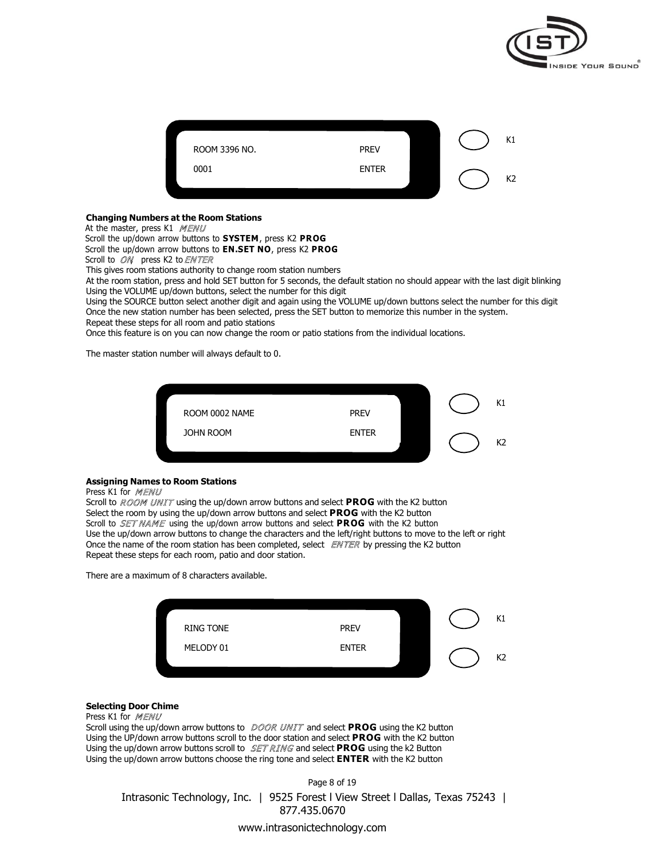



#### **Changing Numbers at the Room Stations**

At the master, press K1 MENU

Scroll the up/down arrow buttons to **SYSTEM**, press K2 **PROG**

Scroll the up/down arrow buttons to **EN.SET NO**, press K2 **PROG**

Scroll to ON press K2 to ENTER

This gives room stations authority to change room station numbers

At the room station, press and hold SET button for 5 seconds, the default station no should appear with the last digit blinking Using the VOLUME up/down buttons, select the number for this digit

Using the SOURCE button select another digit and again using the VOLUME up/down buttons select the number for this digit Once the new station number has been selected, press the SET button to memorize this number in the system. Repeat these steps for all room and patio stations

Once this feature is on you can now change the room or patio stations from the individual locations.

The master station number will always default to 0.



#### **Assigning Names to Room Stations**

#### Press K1 for MENU

Scroll to ROOM UNIT using the up/down arrow buttons and select PROG with the K2 button Select the room by using the up/down arrow buttons and select **PROG** with the K2 button Scroll to *SET NAME* using the up/down arrow buttons and select **PROG** with the K2 button Use the up/down arrow buttons to change the characters and the left/right buttons to move to the left or right Once the name of the room station has been completed, select  $ENTER$  by pressing the K2 button Repeat these steps for each room, patio and door station.

There are a maximum of 8 characters available.



## **Selecting Door Chime**

#### Press K1 for MENU

Scroll using the up/down arrow buttons to DOOR UNIT and select PROG using the K2 button Using the UP/down arrow buttons scroll to the door station and select **PROG** with the K2 button Using the up/down arrow buttons scroll to  $\mathcal{SETRMGS}$  and select **PROG** using the k2 Button Using the up/down arrow buttons choose the ring tone and select **ENTER** with the K2 button

Page 8 of 19 Intrasonic Technology, Inc. | 9525 Forest l View Street l Dallas, Texas 75243 | 877.435.0670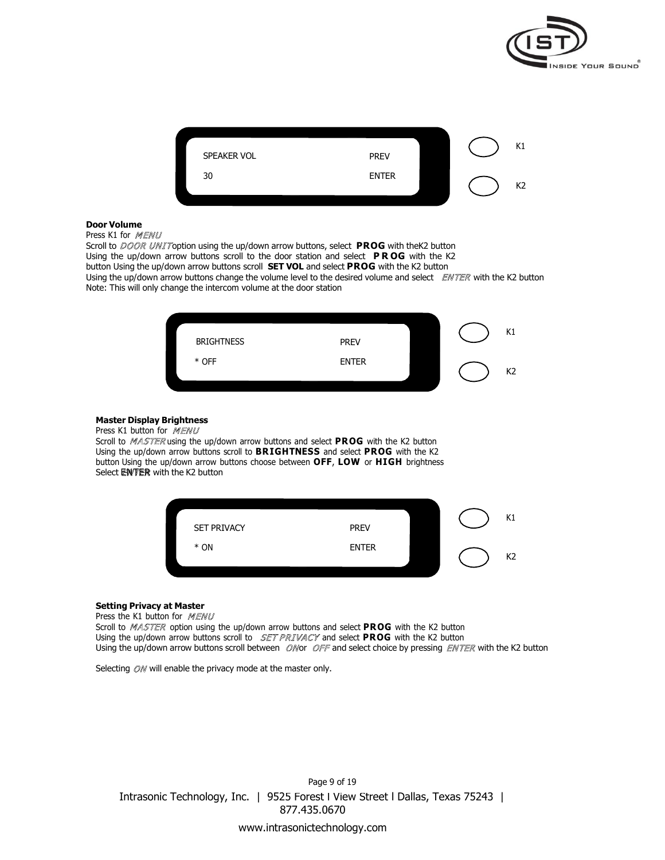



## **Door Volume**

Press K1 for MENU

Scroll to DOOR UNIToption using the up/down arrow buttons, select PROG with theK2 button Using the up/down arrow buttons scroll to the door station and select **P R OG** with the K2 button Using the up/down arrow buttons scroll **SET VOL** and select **PROG** with the K2 button Using the up/down arrow buttons change the volume level to the desired volume and select  $EWTER$  with the K2 button Note: This will only change the intercom volume at the door station



#### **Master Display Brightness**

Press K1 button for MENU

Scroll to *MASTER* using the up/down arrow buttons and select PROG with the K2 button Using the up/down arrow buttons scroll to **BRIGHTNESS** and select **PROG** with the K2 button Using the up/down arrow buttons choose between **OFF**, **LOW** or **HIGH** brightness Select **ENVER** with the K2 button



#### **Setting Privacy at Master**

Press the K1 button for MENU

Scroll to MASTER option using the up/down arrow buttons and select PROG with the K2 button Using the up/down arrow buttons scroll to *SET PRIVACY* and select PROG with the K2 button Using the up/down arrow buttons scroll between ONor OFF and select choice by pressing ENTER with the K2 button

Selecting  $\mathcal{O}N$  will enable the privacy mode at the master only.

Intrasonic Technology, Inc. | 9525 Forest l View Street l Dallas, Texas 75243 | 877.435.0670 Page 9 of 19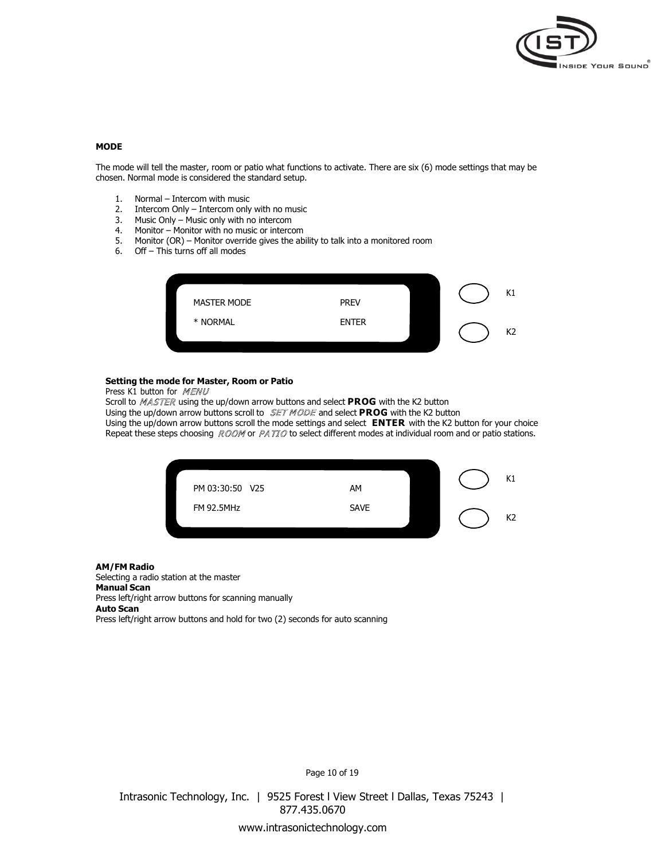

#### **MODE**

The mode will tell the master, room or patio what functions to activate. There are six (6) mode settings that may be chosen. Normal mode is considered the standard setup.

- 1. Normal Intercom with music
- 2. Intercom Only Intercom only with no music
- 3. Music Only Music only with no intercom
- 4. Monitor Monitor with no music or intercom
- 5. Monitor (OR) Monitor override gives the ability to talk into a monitored room
- 6. Off This turns off all modes



#### **Setting the mode for Master, Room or Patio** Press K1 button for MENU

Scroll to MASTER using the up/down arrow buttons and select PROG with the K2 button Using the up/down arrow buttons scroll to  $SET MODE$  and select **PROG** with the K2 button Using the up/down arrow buttons scroll the mode settings and select **ENTER** with the K2 button for your choice Repeat these steps choosing ROOM or PATIO to select different modes at individual room and or patio stations.



#### **AM/FM Radio**

Selecting a radio station at the master **Manual Scan** Press left/right arrow buttons for scanning manually **Auto Scan** Press left/right arrow buttons and hold for two (2) seconds for auto scanning

Page 10 of 19

Intrasonic Technology, Inc. | 9525 Forest l View Street l Dallas, Texas 75243 | 877.435.0670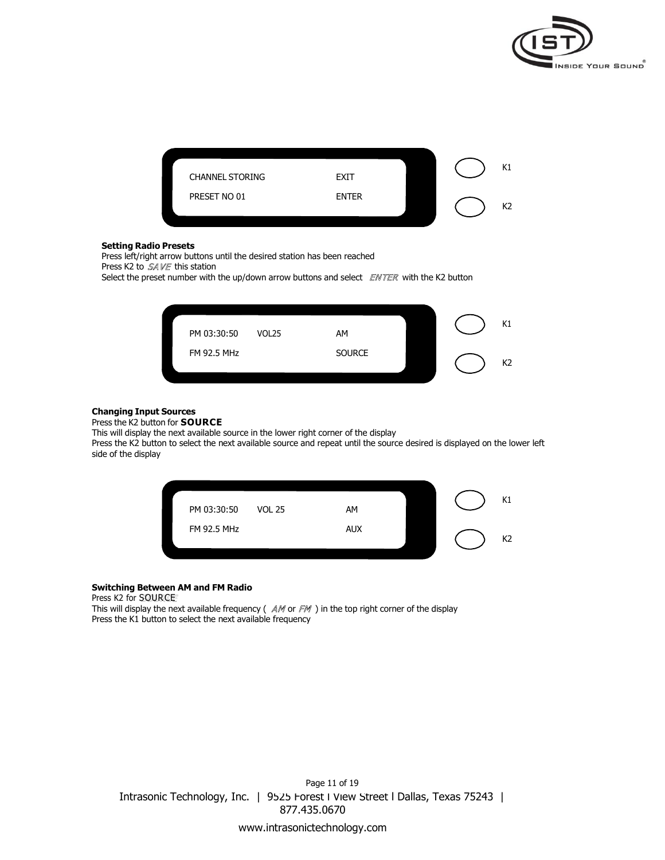



#### **Setting Radio Presets**

Press left/right arrow buttons until the desired station has been reached

Press K2 to  $SAVE$  this station

Select the preset number with the up/down arrow buttons and select  $ENTER$  with the K2 button



## **Changing Input Sources**

Press the K2 button for **SOURCE**

This will display the next available source in the lower right corner of the display

Press the K2 button to select the next available source and repeat until the source desired is displayed on the lower left side of the display



## **Switching Between AM and FM Radio**

Press K2 for SOURCE

This will display the next available frequency ( $AM$  or  $FM$  ) in the top right corner of the display Press the K1 button to select the next available frequency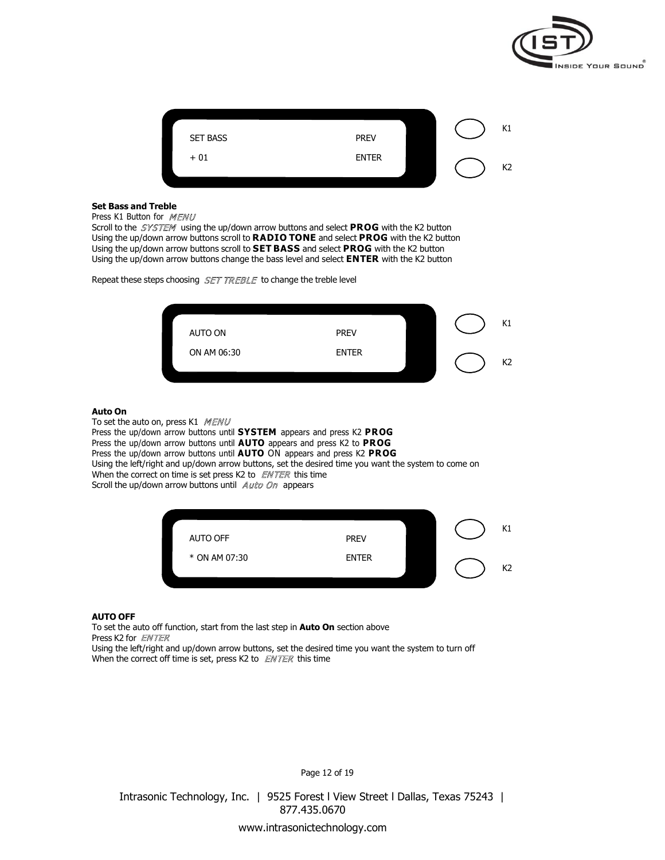

| <b>SET BASS</b> | <b>PREV</b>  | K1 |
|-----------------|--------------|----|
| $+01$           | <b>ENTER</b> | K2 |

### **Set Bass and Treble**

Press K1 Button for MENU

Scroll to the SYSTEM using the up/down arrow buttons and select PROG with the K2 button Using the up/down arrow buttons scroll to **RADIO TONE** and select **PROG** with the K2 button Using the up/down arrow buttons scroll to **SET BASS** and select **PROG** with the K2 button Using the up/down arrow buttons change the bass level and select **ENTER** with the K2 button

Repeat these steps choosing SET TREBLE to change the treble level



## **Auto On**

To set the auto on, press K1 MENU Press the up/down arrow buttons until **SYSTEM** appears and press K2 **PROG** Press the up/down arrow buttons until **AUTO** appears and press K2 to **PROG** Press the up/down arrow buttons until **AUTO** ON appears and press K2 **PROG** Using the left/right and up/down arrow buttons, set the desired time you want the system to come on When the correct on time is set press K2 to  $ENTER$  this time Scroll the up/down arrow buttons until Auto On appears



#### **AUTO OFF**

To set the auto off function, start from the last step in **Auto On** section above Press K2 for *ENTER* 

Using the left/right and up/down arrow buttons, set the desired time you want the system to turn off When the correct off time is set, press K2 to  $ENTER$  this time

Page 12 of 19

Intrasonic Technology, Inc. | 9525 Forest l View Street l Dallas, Texas 75243 | 877.435.0670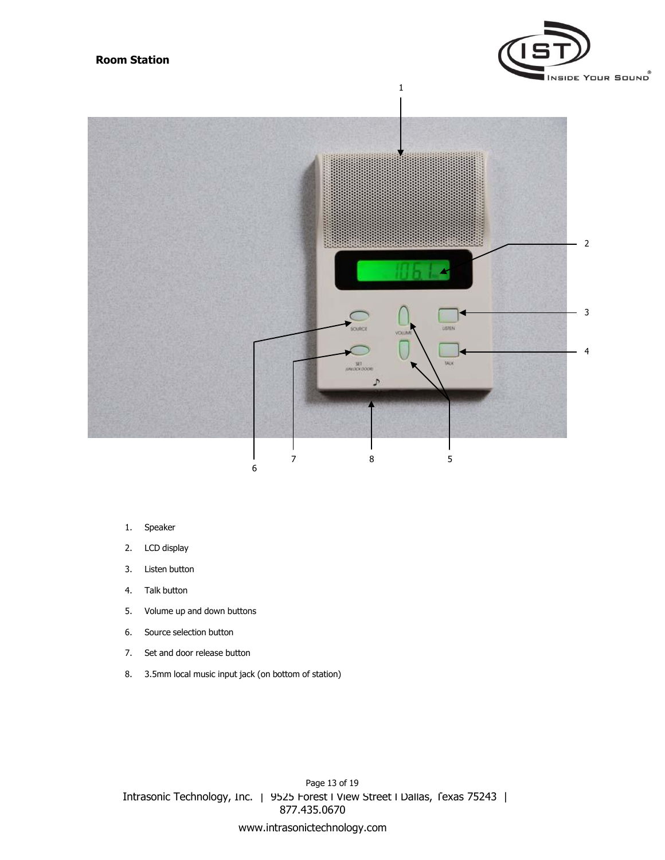



1

- 1. Speaker
- 2. LCD display
- 3. Listen button
- 4. Talk button
- 5. Volume up and down buttons
- 6. Source selection button
- 7. Set and door release button
- 8. 3.5mm local music input jack (on bottom of station)

Intrasonic Technology, Inc. | 9525 Forest l View Street l Dallas, Texas 75243 | 877.435.0670 www.intrasonictechnology.com Page 13 of 19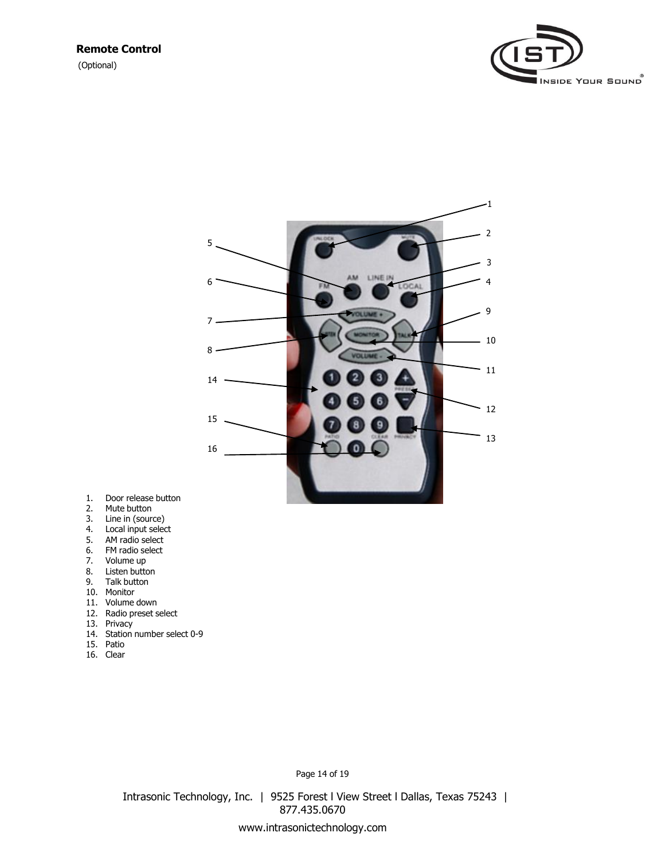(Optional)





- 1. Door release button
- 2. Mute button
- 3. Line in (source)
- 4. Local input select
- 5. AM radio select
- 6. FM radio select
- 7. Volume up
- 8. Listen button
- 9. Talk button
- 10. Monitor
- 11. Volume down
- 12. Radio preset select
- 13. Privacy
- 14. Station number select 0-9
- 15. Patio
- 16. Clear

Page 14 of 19

Intrasonic Technology, Inc. | 9525 Forest l View Street l Dallas, Texas 75243 | 877.435.0670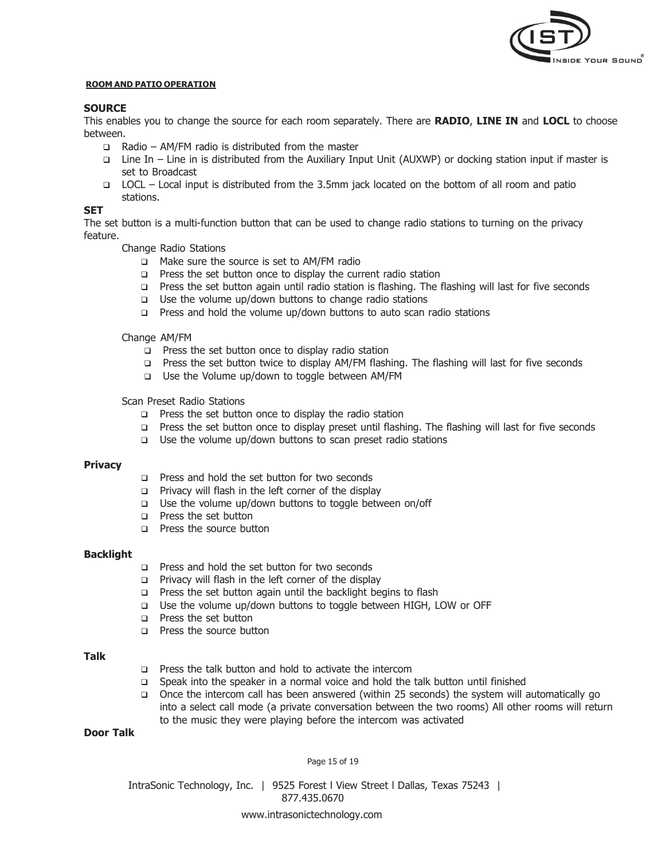

## **ROOM AND PATIO OPERATION**

# **SOURCE**

This enables you to change the source for each room separately. There are **RADIO**, **LINE IN** and **LOCL** to choose between.

- $\Box$  Radio AM/FM radio is distributed from the master
- Line In Line in is distributed from the Auxiliary Input Unit (AUXWP) or docking station input if master is set to Broadcast
- LOCL Local input is distributed from the 3.5mm jack located on the bottom of all room and patio stations.

# **SET**

The set button is a multi-function button that can be used to change radio stations to turning on the privacy feature.

- Change Radio Stations
	- □ Make sure the source is set to AM/FM radio
	- $\Box$  Press the set button once to display the current radio station
	- Press the set button again until radio station is flashing. The flashing will last for five seconds
	- $\Box$  Use the volume up/down buttons to change radio stations
	- Press and hold the volume up/down buttons to auto scan radio stations

## Change AM/FM

- $\Box$  Press the set button once to display radio station
- Press the set button twice to display AM/FM flashing. The flashing will last for five seconds
- □ Use the Volume up/down to toggle between AM/FM

# Scan Preset Radio Stations

- $\Box$  Press the set button once to display the radio station
- Press the set button once to display preset until flashing. The flashing will last for five seconds
- $\Box$  Use the volume up/down buttons to scan preset radio stations

## **Privacy**

- **Press and hold the set button for two seconds**
- $\Box$  Privacy will flash in the left corner of the display
- $\Box$  Use the volume up/down buttons to toggle between on/off
- **D** Press the set button
- **Press the source button**

## **Backlight**

- □ Press and hold the set button for two seconds
- $\Box$  Privacy will flash in the left corner of the display
- $\Box$  Press the set button again until the backlight begins to flash
- □ Use the volume up/down buttons to toggle between HIGH, LOW or OFF
- **Press the set button**
- **p** Press the source button

## **Talk**

- $\Box$  Press the talk button and hold to activate the intercom
- Speak into the speaker in a normal voice and hold the talk button until finished
- Once the intercom call has been answered (within 25 seconds) the system will automatically go into a select call mode (a private conversation between the two rooms) All other rooms will return to the music they were playing before the intercom was activated

## **Door Talk**

Page 15 of 19

IntraSonic Technology, Inc. | 9525 Forest l View Street l Dallas, Texas 75243 | 877.435.0670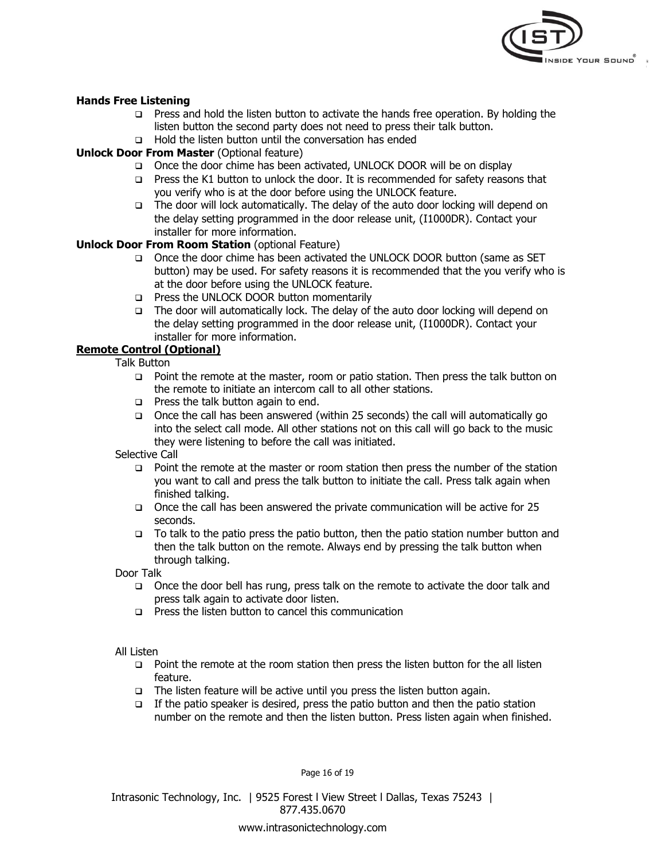

# **Hands Free Listening**

- **Press and hold the listen button to activate the hands free operation. By holding the** listen button the second party does not need to press their talk button.
- $\Box$  Hold the listen button until the conversation has ended

# **Unlock Door From Master** (Optional feature)

- Once the door chime has been activated, UNLOCK DOOR will be on display
- $\Box$  Press the K1 button to unlock the door. It is recommended for safety reasons that you verify who is at the door before using the UNLOCK feature.
- $\Box$  The door will lock automatically. The delay of the auto door locking will depend on the delay setting programmed in the door release unit, (I1000DR). Contact your installer for more information.

# **Unlock Door From Room Station** (optional Feature)

- Once the door chime has been activated the UNLOCK DOOR button (same as SET button) may be used. For safety reasons it is recommended that the you verify who is at the door before using the UNLOCK feature.
- **Press the UNLOCK DOOR button momentarily**
- □ The door will automatically lock. The delay of the auto door locking will depend on the delay setting programmed in the door release unit, (I1000DR). Contact your installer for more information.

# **Remote Control (Optional)**

Talk Button

- □ Point the remote at the master, room or patio station. Then press the talk button on the remote to initiate an intercom call to all other stations.
- $\Box$  Press the talk button again to end.
- Once the call has been answered (within 25 seconds) the call will automatically go into the select call mode. All other stations not on this call will go back to the music they were listening to before the call was initiated.

Selective Call

- $\Box$  Point the remote at the master or room station then press the number of the station you want to call and press the talk button to initiate the call. Press talk again when finished talking.
- Once the call has been answered the private communication will be active for 25 seconds.
- $\Box$  To talk to the patio press the patio button, then the patio station number button and then the talk button on the remote. Always end by pressing the talk button when through talking.

Door Talk

- Once the door bell has rung, press talk on the remote to activate the door talk and press talk again to activate door listen.
- $\Box$  Press the listen button to cancel this communication

# All Listen

- $\Box$  Point the remote at the room station then press the listen button for the all listen feature.
- $\Box$  The listen feature will be active until you press the listen button again.
- $\Box$  If the patio speaker is desired, press the patio button and then the patio station number on the remote and then the listen button. Press listen again when finished.

Page 16 of 19

877.435.0670 Intrasonic Technology, Inc. | 9525 Forest l View Street l Dallas, Texas 75243 |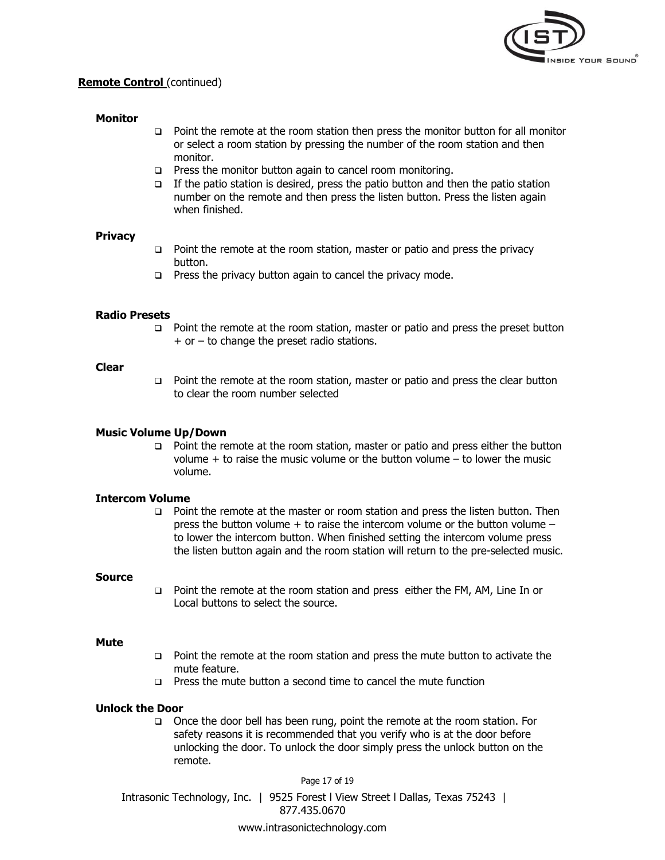

# **Remote Control** (continued)

# **Monitor**

- Point the remote at the room station then press the monitor button for all monitor or select a room station by pressing the number of the room station and then monitor.
- $\Box$  Press the monitor button again to cancel room monitoring.
- If the patio station is desired, press the patio button and then the patio station number on the remote and then press the listen button. Press the listen again when finished.

# **Privacy**

- $\Box$  Point the remote at the room station, master or patio and press the privacy button.
- $\Box$  Press the privacy button again to cancel the privacy mode.

# **Radio Presets**

 $\Box$  Point the remote at the room station, master or patio and press the preset button  $+$  or  $-$  to change the preset radio stations.

## **Clear**

 Point the remote at the room station, master or patio and press the clear button to clear the room number selected

# **Music Volume Up/Down**

 Point the remote at the room station, master or patio and press either the button volume + to raise the music volume or the button volume – to lower the music volume.

# **Intercom Volume**

 Point the remote at the master or room station and press the listen button. Then press the button volume  $+$  to raise the intercom volume or the button volume  $$ to lower the intercom button. When finished setting the intercom volume press the listen button again and the room station will return to the pre-selected music.

# **Source**

 Point the remote at the room station and press either the FM, AM, Line In or Local buttons to select the source.

# **Mute**

- Point the remote at the room station and press the mute button to activate the mute feature.
- **Press the mute button a second time to cancel the mute function**

# **Unlock the Door**

□ Once the door bell has been rung, point the remote at the room station. For safety reasons it is recommended that you verify who is at the door before unlocking the door. To unlock the door simply press the unlock button on the remote.

Page 17 of 19

Intrasonic Technology, Inc. | 9525 Forest l View Street l Dallas, Texas 75243 | 877.435.0670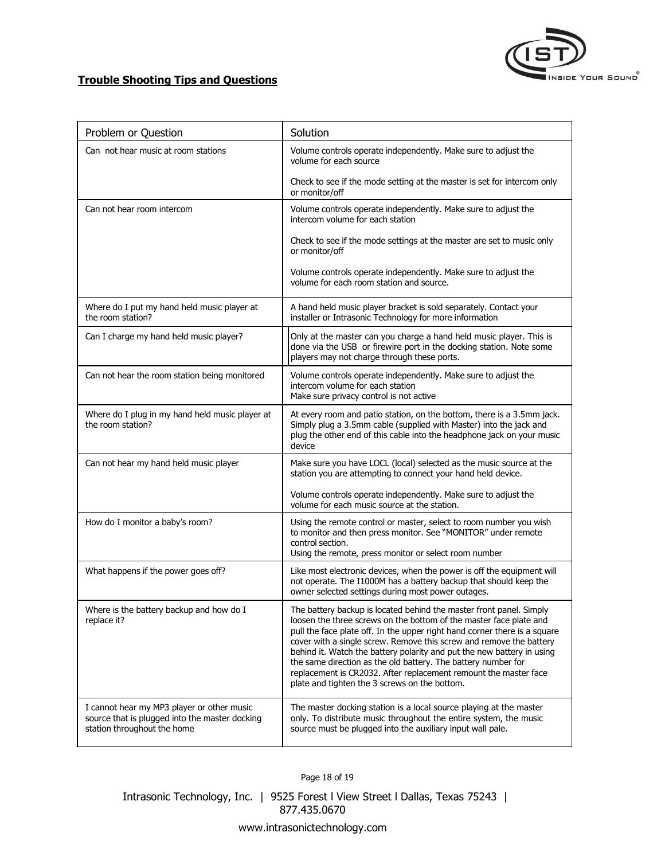

# **Trouble Shooting Tips and Questions**

| Problem or Question                                                                                                         | Solution                                                                                                                                                                                                                                                                                                                                                                                                                                                                                                                                                      |
|-----------------------------------------------------------------------------------------------------------------------------|---------------------------------------------------------------------------------------------------------------------------------------------------------------------------------------------------------------------------------------------------------------------------------------------------------------------------------------------------------------------------------------------------------------------------------------------------------------------------------------------------------------------------------------------------------------|
| Can not hear music at room stations                                                                                         | Volume controls operate independently. Make sure to adjust the<br>volume for each source                                                                                                                                                                                                                                                                                                                                                                                                                                                                      |
|                                                                                                                             | Check to see if the mode setting at the master is set for intercom only<br>or monitor/off                                                                                                                                                                                                                                                                                                                                                                                                                                                                     |
| Can not hear room intercom                                                                                                  | Volume controls operate independently. Make sure to adjust the<br>intercom volume for each station                                                                                                                                                                                                                                                                                                                                                                                                                                                            |
|                                                                                                                             | Check to see if the mode settings at the master are set to music only<br>or monitor/off                                                                                                                                                                                                                                                                                                                                                                                                                                                                       |
|                                                                                                                             | Volume controls operate independently. Make sure to adjust the<br>volume for each room station and source.                                                                                                                                                                                                                                                                                                                                                                                                                                                    |
| Where do I put my hand held music player at<br>the room station?                                                            | A hand held music player bracket is sold separately. Contact your<br>installer or Intrasonic Technology for more information                                                                                                                                                                                                                                                                                                                                                                                                                                  |
| Can I charge my hand held music player?                                                                                     | Only at the master can you charge a hand held music player. This is<br>done via the USB or firewire port in the docking station. Note some<br>players may not charge through these ports.                                                                                                                                                                                                                                                                                                                                                                     |
| Can not hear the room station being monitored                                                                               | Volume controls operate independently. Make sure to adjust the<br>intercom volume for each station<br>Make sure privacy control is not active                                                                                                                                                                                                                                                                                                                                                                                                                 |
| Where do I plug in my hand held music player at<br>the room station?                                                        | At every room and patio station, on the bottom, there is a 3.5mm jack.<br>Simply plug a 3.5mm cable (supplied with Master) into the jack and<br>plug the other end of this cable into the headphone jack on your music<br>device                                                                                                                                                                                                                                                                                                                              |
| Can not hear my hand held music player                                                                                      | Make sure you have LOCL (local) selected as the music source at the<br>station you are attempting to connect your hand held device.                                                                                                                                                                                                                                                                                                                                                                                                                           |
|                                                                                                                             | Volume controls operate independently. Make sure to adjust the<br>volume for each music source at the station.                                                                                                                                                                                                                                                                                                                                                                                                                                                |
| How do I monitor a baby's room?                                                                                             | Using the remote control or master, select to room number you wish<br>to monitor and then press monitor. See "MONITOR" under remote<br>control section.<br>Using the remote, press monitor or select room number                                                                                                                                                                                                                                                                                                                                              |
| What happens if the power goes off?                                                                                         | Like most electronic devices, when the power is off the equipment will<br>not operate. The I1000M has a battery backup that should keep the<br>owner selected settings during most power outages.                                                                                                                                                                                                                                                                                                                                                             |
| Where is the battery backup and how do I<br>replace it?                                                                     | The battery backup is located behind the master front panel. Simply<br>loosen the three screws on the bottom of the master face plate and<br>pull the face plate off. In the upper right hand corner there is a square<br>cover with a single screw. Remove this screw and remove the battery<br>behind it. Watch the battery polarity and put the new battery in using<br>the same direction as the old battery. The battery number for<br>replacement is CR2032. After replacement remount the master face<br>plate and tighten the 3 screws on the bottom. |
| I cannot hear my MP3 player or other music<br>source that is plugged into the master docking<br>station throughout the home | The master docking station is a local source playing at the master<br>only. To distribute music throughout the entire system, the music<br>source must be plugged into the auxiliary input wall pale.                                                                                                                                                                                                                                                                                                                                                         |

Page 18 of 19

Intrasonic Technology, Inc. | 9525 Forest l View Street l Dallas, Texas 75243 | 877.435.0670